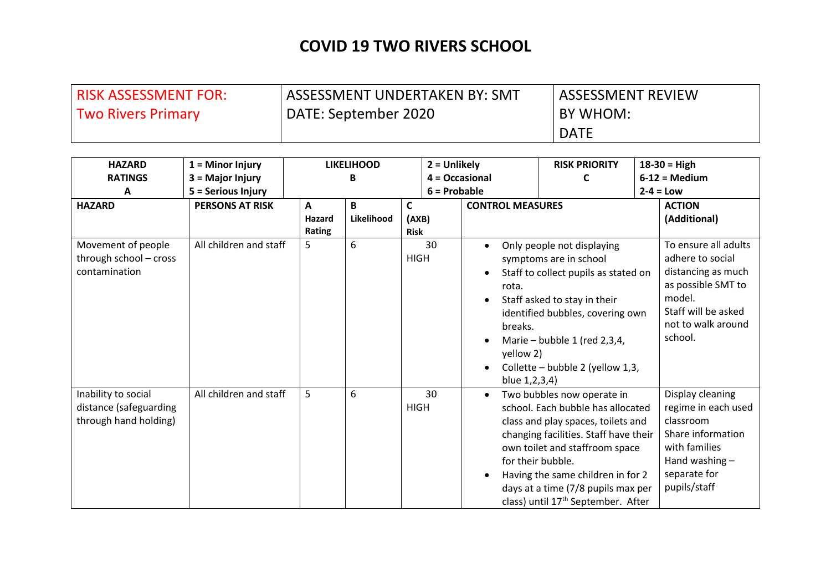| RISK ASSESSMENT FOR:      | ASSESSMENT UNDERTAKEN BY: SMT | <b>ASSESSMENT REVIEW</b> |
|---------------------------|-------------------------------|--------------------------|
| <b>Two Rivers Primary</b> | DATE: September 2020          | BY WHOM:                 |
|                           |                               | <b>DATE</b>              |

| <b>HAZARD</b>                                                          | $1 =$ Minor Injury     |                                  | <b>LIKELIHOOD</b> |                           | $2 =$ Unlikely |                                                | <b>RISK PRIORITY</b>                                                                                                                                                                                                                                                                                                               | $18-30 = High$                                                                                                                                         |
|------------------------------------------------------------------------|------------------------|----------------------------------|-------------------|---------------------------|----------------|------------------------------------------------|------------------------------------------------------------------------------------------------------------------------------------------------------------------------------------------------------------------------------------------------------------------------------------------------------------------------------------|--------------------------------------------------------------------------------------------------------------------------------------------------------|
| <b>RATINGS</b>                                                         | 3 = Major Injury       |                                  | B                 |                           | 4 = Occasional |                                                | C                                                                                                                                                                                                                                                                                                                                  | $6-12$ = Medium                                                                                                                                        |
| A                                                                      | 5 = Serious Injury     |                                  |                   |                           | $6 =$ Probable |                                                |                                                                                                                                                                                                                                                                                                                                    | $2-4 = Low$                                                                                                                                            |
| <b>HAZARD</b>                                                          | <b>PERSONS AT RISK</b> | $\mathbf{A}$<br>Hazard<br>Rating | B<br>Likelihood   | C<br>(AXB)<br><b>Risk</b> |                | <b>CONTROL MEASURES</b>                        |                                                                                                                                                                                                                                                                                                                                    | <b>ACTION</b><br>(Additional)                                                                                                                          |
| Movement of people<br>through school - cross<br>contamination          | All children and staff | 5                                | 6                 | <b>HIGH</b>               | 30             | rota.<br>breaks.<br>yellow 2)<br>blue 1,2,3,4) | Only people not displaying<br>symptoms are in school<br>Staff to collect pupils as stated on<br>Staff asked to stay in their<br>identified bubbles, covering own<br>Marie - bubble 1 (red 2,3,4,<br>Collette - bubble 2 (yellow 1,3,                                                                                               | To ensure all adults<br>adhere to social<br>distancing as much<br>as possible SMT to<br>model.<br>Staff will be asked<br>not to walk around<br>school. |
| Inability to social<br>distance (safeguarding<br>through hand holding) | All children and staff | 5                                | 6                 | <b>HIGH</b>               | 30             |                                                | Two bubbles now operate in<br>school. Each bubble has allocated<br>class and play spaces, toilets and<br>changing facilities. Staff have their<br>own toilet and staffroom space<br>for their bubble.<br>Having the same children in for 2<br>days at a time (7/8 pupils max per<br>class) until 17 <sup>th</sup> September. After | Display cleaning<br>regime in each used<br>classroom<br>Share information<br>with families<br>Hand washing $-$<br>separate for<br>pupils/staff         |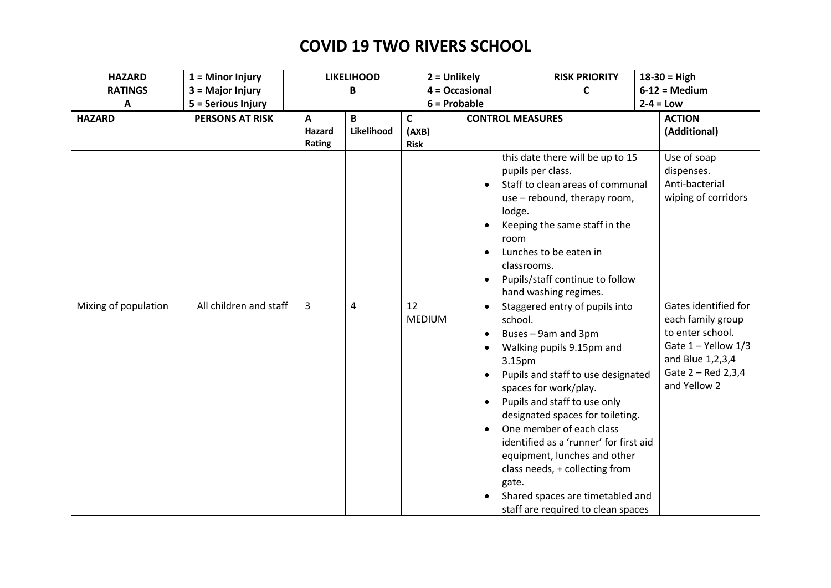| <b>HAZARD</b>        | $1 =$ Minor Injury     |                       | <b>LIKELIHOOD</b> |                           | $2 =$ Unlikely                           | <b>RISK PRIORITY</b>                                                                                                                                                                                                                                                                                                                                                                                  | $18-30 = High$                                                                                                  |  |
|----------------------|------------------------|-----------------------|-------------------|---------------------------|------------------------------------------|-------------------------------------------------------------------------------------------------------------------------------------------------------------------------------------------------------------------------------------------------------------------------------------------------------------------------------------------------------------------------------------------------------|-----------------------------------------------------------------------------------------------------------------|--|
| <b>RATINGS</b>       | 3 = Major Injury       |                       | B                 |                           | $4 = Occasional$                         | C                                                                                                                                                                                                                                                                                                                                                                                                     | $6-12 = Median$                                                                                                 |  |
| A                    | 5 = Serious Injury     |                       | $6 =$ Probable    |                           |                                          |                                                                                                                                                                                                                                                                                                                                                                                                       | $2-4 = Low$                                                                                                     |  |
| <b>HAZARD</b>        | <b>PERSONS AT RISK</b> | A<br>Hazard<br>Rating | B<br>Likelihood   | C<br>(AXB)<br><b>Risk</b> |                                          | <b>CONTROL MEASURES</b>                                                                                                                                                                                                                                                                                                                                                                               |                                                                                                                 |  |
| Mixing of population | All children and staff | $\overline{3}$        | 4                 | 12<br><b>MEDIUM</b>       | lodge.<br>room<br>classrooms.<br>school. | this date there will be up to 15<br>pupils per class.<br>Staff to clean areas of communal<br>use - rebound, therapy room,<br>Keeping the same staff in the<br>Lunches to be eaten in<br>Pupils/staff continue to follow<br>hand washing regimes.<br>Staggered entry of pupils into                                                                                                                    | Use of soap<br>dispenses.<br>Anti-bacterial<br>wiping of corridors<br>Gates identified for<br>each family group |  |
|                      |                        |                       |                   |                           | 3.15pm<br>gate.                          | Buses - 9am and 3pm<br>Walking pupils 9.15pm and<br>Pupils and staff to use designated<br>spaces for work/play.<br>Pupils and staff to use only<br>designated spaces for toileting.<br>One member of each class<br>identified as a 'runner' for first aid<br>equipment, lunches and other<br>class needs, + collecting from<br>Shared spaces are timetabled and<br>staff are required to clean spaces | to enter school.<br>Gate $1 -$ Yellow $1/3$<br>and Blue 1,2,3,4<br>Gate 2 - Red 2,3,4<br>and Yellow 2           |  |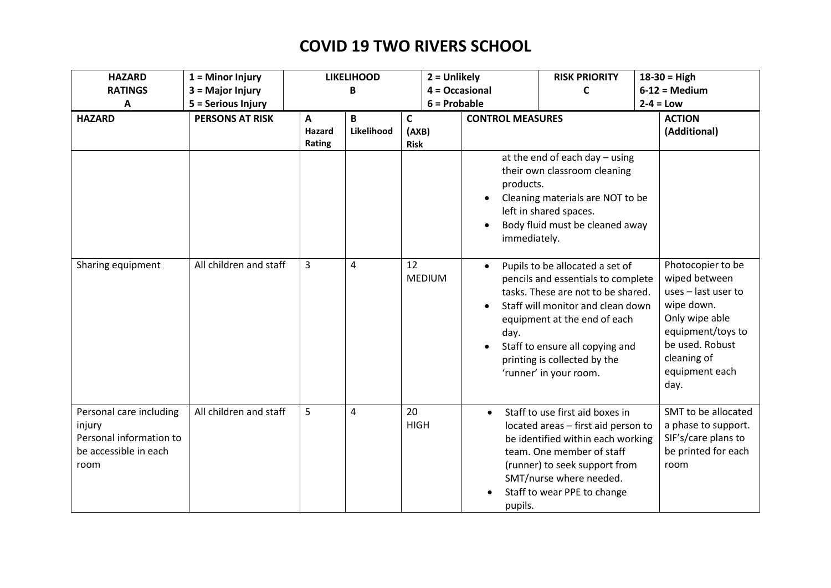| <b>HAZARD</b>                                                                                 | $1 =$ Minor Injury     |                              | <b>LIKELIHOOD</b> | $2 =$ Unlikely                       |                           | <b>RISK PRIORITY</b>                                                                                                                                                                                                                                                          |  | $18-30 = High$                                                                                                                                                             |
|-----------------------------------------------------------------------------------------------|------------------------|------------------------------|-------------------|--------------------------------------|---------------------------|-------------------------------------------------------------------------------------------------------------------------------------------------------------------------------------------------------------------------------------------------------------------------------|--|----------------------------------------------------------------------------------------------------------------------------------------------------------------------------|
| <b>RATINGS</b>                                                                                | 3 = Major Injury       |                              | B                 |                                      | $4 = Occasional$          | C                                                                                                                                                                                                                                                                             |  | $6-12$ = Medium                                                                                                                                                            |
| A                                                                                             | 5 = Serious Injury     |                              |                   |                                      | $6 =$ Probable            |                                                                                                                                                                                                                                                                               |  | $2-4 = Low$                                                                                                                                                                |
| <b>HAZARD</b>                                                                                 | <b>PERSONS AT RISK</b> | A<br><b>Hazard</b><br>Rating | B<br>Likelihood   | $\mathsf{C}$<br>(AXB)<br><b>Risk</b> | <b>CONTROL MEASURES</b>   |                                                                                                                                                                                                                                                                               |  | <b>ACTION</b><br>(Additional)                                                                                                                                              |
|                                                                                               |                        |                              |                   |                                      | products.<br>immediately. | at the end of each day $-$ using<br>their own classroom cleaning<br>Cleaning materials are NOT to be<br>left in shared spaces.<br>Body fluid must be cleaned away                                                                                                             |  |                                                                                                                                                                            |
| Sharing equipment                                                                             | All children and staff | $\overline{3}$               | 4                 | 12<br><b>MEDIUM</b>                  | $\bullet$<br>day.         | Pupils to be allocated a set of<br>pencils and essentials to complete<br>tasks. These are not to be shared.<br>Staff will monitor and clean down<br>equipment at the end of each<br>Staff to ensure all copying and<br>printing is collected by the<br>'runner' in your room. |  | Photocopier to be<br>wiped between<br>uses - last user to<br>wipe down.<br>Only wipe able<br>equipment/toys to<br>be used. Robust<br>cleaning of<br>equipment each<br>day. |
| Personal care including<br>injury<br>Personal information to<br>be accessible in each<br>room | All children and staff | 5                            | 4                 | 20<br><b>HIGH</b>                    | $\bullet$<br>pupils.      | Staff to use first aid boxes in<br>located areas - first aid person to<br>be identified within each working<br>team. One member of staff<br>(runner) to seek support from<br>SMT/nurse where needed.<br>Staff to wear PPE to change                                           |  | SMT to be allocated<br>a phase to support.<br>SIF's/care plans to<br>be printed for each<br>room                                                                           |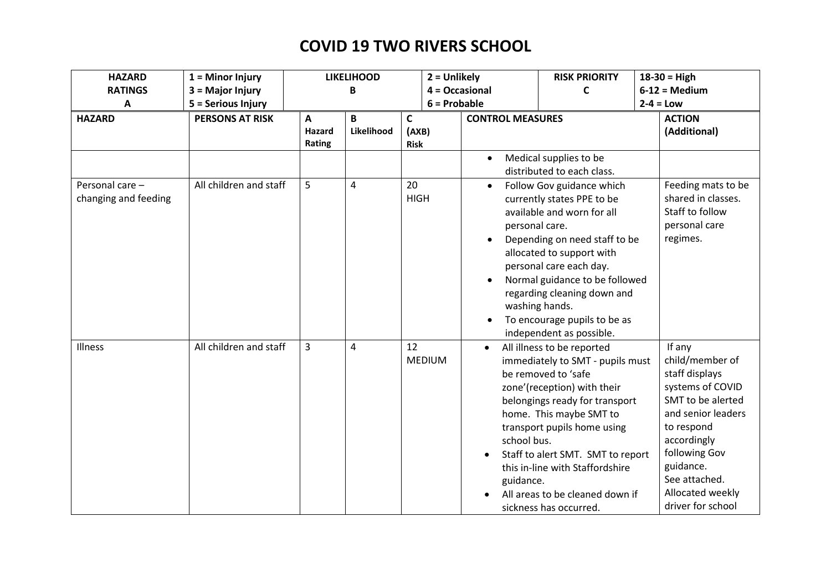| <b>HAZARD</b>                           | $1 =$ Minor Injury     |                                  | <b>LIKELIHOOD</b> |                           | $2 =$ Unlikely                                                     | <b>RISK PRIORITY</b>                                                                                                                                                                                                                                                                                                                                  | $18-30 = High$                                                                                                                                                                                                                  |
|-----------------------------------------|------------------------|----------------------------------|-------------------|---------------------------|--------------------------------------------------------------------|-------------------------------------------------------------------------------------------------------------------------------------------------------------------------------------------------------------------------------------------------------------------------------------------------------------------------------------------------------|---------------------------------------------------------------------------------------------------------------------------------------------------------------------------------------------------------------------------------|
| <b>RATINGS</b>                          | 3 = Major Injury       |                                  | B                 |                           | 4 = Occasional                                                     | C                                                                                                                                                                                                                                                                                                                                                     | $6-12$ = Medium                                                                                                                                                                                                                 |
| A                                       | 5 = Serious Injury     |                                  |                   |                           | $6 =$ Probable                                                     |                                                                                                                                                                                                                                                                                                                                                       | $2-4 = Low$                                                                                                                                                                                                                     |
| <b>HAZARD</b>                           | <b>PERSONS AT RISK</b> | $\mathbf{A}$<br>Hazard<br>Rating | B<br>Likelihood   | C<br>(AXB)<br><b>Risk</b> | <b>CONTROL MEASURES</b>                                            |                                                                                                                                                                                                                                                                                                                                                       | <b>ACTION</b><br>(Additional)                                                                                                                                                                                                   |
|                                         |                        |                                  |                   |                           | $\bullet$                                                          | Medical supplies to be<br>distributed to each class.                                                                                                                                                                                                                                                                                                  |                                                                                                                                                                                                                                 |
| Personal care -<br>changing and feeding | All children and staff | 5                                | 4                 | 20<br><b>HIGH</b>         | $\bullet$<br>personal care.<br>$\bullet$<br>$\bullet$<br>$\bullet$ | Follow Gov guidance which<br>currently states PPE to be<br>available and worn for all<br>Depending on need staff to be<br>allocated to support with<br>personal care each day.<br>Normal guidance to be followed<br>regarding cleaning down and<br>washing hands.<br>To encourage pupils to be as<br>independent as possible.                         | Feeding mats to be<br>shared in classes.<br>Staff to follow<br>personal care<br>regimes.                                                                                                                                        |
| <b>Illness</b>                          | All children and staff | 3                                | 4                 | 12<br><b>MEDIUM</b>       | school bus.<br>guidance.                                           | All illness to be reported<br>immediately to SMT - pupils must<br>be removed to 'safe<br>zone'(reception) with their<br>belongings ready for transport<br>home. This maybe SMT to<br>transport pupils home using<br>Staff to alert SMT. SMT to report<br>this in-line with Staffordshire<br>All areas to be cleaned down if<br>sickness has occurred. | If any<br>child/member of<br>staff displays<br>systems of COVID<br>SMT to be alerted<br>and senior leaders<br>to respond<br>accordingly<br>following Gov<br>guidance.<br>See attached.<br>Allocated weekly<br>driver for school |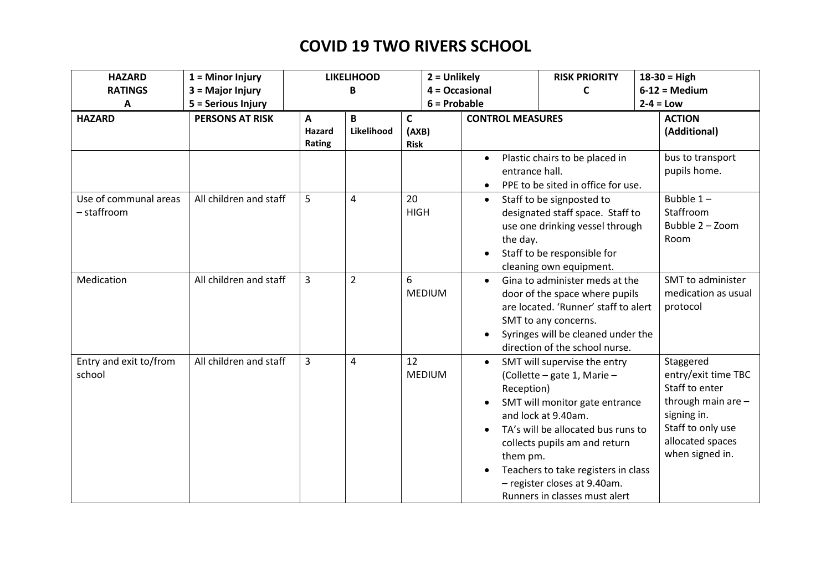| <b>HAZARD</b>          | $1 =$ Minor Injury     |              | <b>LIKELIHOOD</b> | $2 =$ Unlikely |                         | <b>RISK PRIORITY</b>                 | $18-30 = High$                        |
|------------------------|------------------------|--------------|-------------------|----------------|-------------------------|--------------------------------------|---------------------------------------|
| <b>RATINGS</b>         | 3 = Major Injury       |              | B                 |                | 4 = Occasional          | C                                    | $6-12$ = Medium                       |
| A                      | 5 = Serious Injury     |              |                   | $6 =$ Probable |                         |                                      | $2-4 = Low$                           |
| <b>HAZARD</b>          | <b>PERSONS AT RISK</b> | $\mathbf{A}$ | B                 | $\mathsf{C}$   | <b>CONTROL MEASURES</b> |                                      | <b>ACTION</b>                         |
|                        |                        | Hazard       | Likelihood        | (AXB)          |                         |                                      | (Additional)                          |
|                        |                        | Rating       |                   | <b>Risk</b>    |                         |                                      |                                       |
|                        |                        |              |                   |                | $\bullet$               | Plastic chairs to be placed in       | bus to transport                      |
|                        |                        |              |                   |                | entrance hall.          |                                      | pupils home.                          |
|                        |                        |              |                   |                |                         | PPE to be sited in office for use.   |                                       |
| Use of communal areas  | All children and staff | 5            | 4                 | 20             | $\bullet$               | Staff to be signposted to            | Bubble $1-$                           |
| - staffroom            |                        |              |                   | <b>HIGH</b>    |                         | designated staff space. Staff to     | Staffroom                             |
|                        |                        |              |                   |                |                         | use one drinking vessel through      | Bubble 2 - Zoom                       |
|                        |                        |              |                   |                | the day.                |                                      | Room                                  |
|                        |                        |              |                   |                |                         | Staff to be responsible for          |                                       |
|                        |                        |              |                   |                |                         | cleaning own equipment.              |                                       |
| Medication             | All children and staff | 3            | $\overline{2}$    | 6              | $\bullet$               | Gina to administer meds at the       | SMT to administer                     |
|                        |                        |              |                   | <b>MEDIUM</b>  |                         | door of the space where pupils       | medication as usual                   |
|                        |                        |              |                   |                |                         | are located. 'Runner' staff to alert | protocol                              |
|                        |                        |              |                   |                |                         | SMT to any concerns.                 |                                       |
|                        |                        |              |                   |                |                         | Syringes will be cleaned under the   |                                       |
|                        |                        |              |                   |                |                         | direction of the school nurse.       |                                       |
| Entry and exit to/from | All children and staff | 3            | 4                 | 12             | $\bullet$               | SMT will supervise the entry         | Staggered                             |
| school                 |                        |              |                   | <b>MEDIUM</b>  |                         | (Collette - gate 1, Marie -          | entry/exit time TBC                   |
|                        |                        |              |                   |                | Reception)              |                                      | Staff to enter                        |
|                        |                        |              |                   |                |                         | SMT will monitor gate entrance       | through main are -                    |
|                        |                        |              |                   |                |                         | and lock at 9.40am.                  | signing in.                           |
|                        |                        |              |                   |                |                         | TA's will be allocated bus runs to   | Staff to only use<br>allocated spaces |
|                        |                        |              |                   |                |                         | collects pupils am and return        | when signed in.                       |
|                        |                        |              |                   |                | them pm.                |                                      |                                       |
|                        |                        |              |                   |                |                         | Teachers to take registers in class  |                                       |
|                        |                        |              |                   |                |                         | - register closes at 9.40am.         |                                       |
|                        |                        |              |                   |                |                         | Runners in classes must alert        |                                       |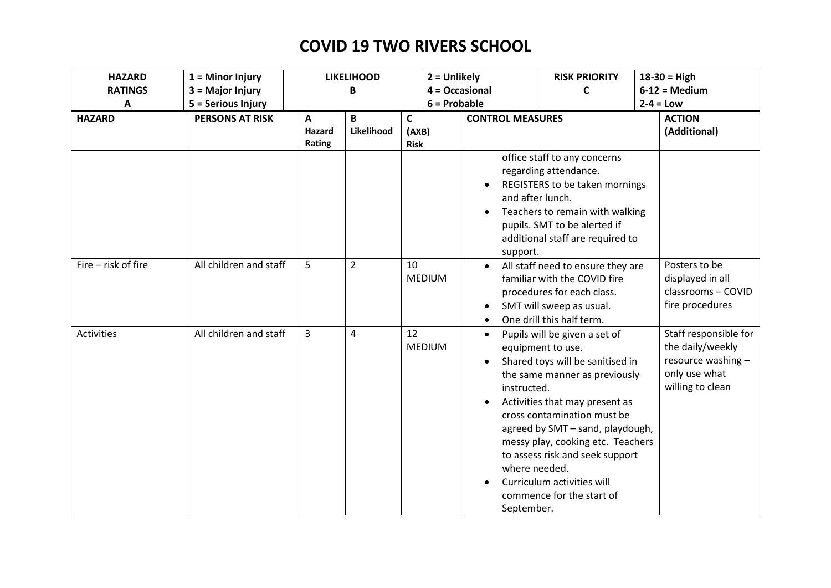| <b>HAZARD</b>       | $1 =$ Minor Injury     | <b>LIKELIHOOD</b><br>$2 =$ Unlikely |                       |                           |               | <b>RISK PRIORITY</b>                   | $18-30 = High$                                                                                                                                                                                                                                                                                                                                                                   |                                                                                                      |
|---------------------|------------------------|-------------------------------------|-----------------------|---------------------------|---------------|----------------------------------------|----------------------------------------------------------------------------------------------------------------------------------------------------------------------------------------------------------------------------------------------------------------------------------------------------------------------------------------------------------------------------------|------------------------------------------------------------------------------------------------------|
| <b>RATINGS</b>      | 3 = Major Injury       |                                     | $4 = Occasional$<br>B |                           |               |                                        | C                                                                                                                                                                                                                                                                                                                                                                                | $6-12$ = Medium                                                                                      |
| А                   | 5 = Serious Injury     | $6 =$ Probable                      |                       |                           |               |                                        | $2-4 = Low$                                                                                                                                                                                                                                                                                                                                                                      |                                                                                                      |
| <b>HAZARD</b>       | <b>PERSONS AT RISK</b> | A<br>Hazard<br>Rating               | B<br>Likelihood       | C<br>(AXB)<br><b>Risk</b> |               | <b>CONTROL MEASURES</b>                |                                                                                                                                                                                                                                                                                                                                                                                  | <b>ACTION</b><br>(Additional)                                                                        |
|                     |                        |                                     |                       |                           |               | support.                               | office staff to any concerns<br>regarding attendance.<br>REGISTERS to be taken mornings<br>and after lunch.<br>Teachers to remain with walking<br>pupils. SMT to be alerted if<br>additional staff are required to                                                                                                                                                               |                                                                                                      |
| Fire - risk of fire | All children and staff | 5                                   | $\overline{2}$        | 10                        | <b>MEDIUM</b> |                                        | All staff need to ensure they are<br>familiar with the COVID fire<br>procedures for each class.<br>SMT will sweep as usual.<br>One drill this half term.                                                                                                                                                                                                                         | Posters to be<br>displayed in all<br>classrooms - COVID<br>fire procedures                           |
| Activities          | All children and staff | 3                                   | 4                     | 12                        | <b>MEDIUM</b> | $\bullet$<br>instructed.<br>September. | Pupils will be given a set of<br>equipment to use.<br>Shared toys will be sanitised in<br>the same manner as previously<br>Activities that may present as<br>cross contamination must be<br>agreed by SMT - sand, playdough,<br>messy play, cooking etc. Teachers<br>to assess risk and seek support<br>where needed.<br>Curriculum activities will<br>commence for the start of | Staff responsible for<br>the daily/weekly<br>resource washing -<br>only use what<br>willing to clean |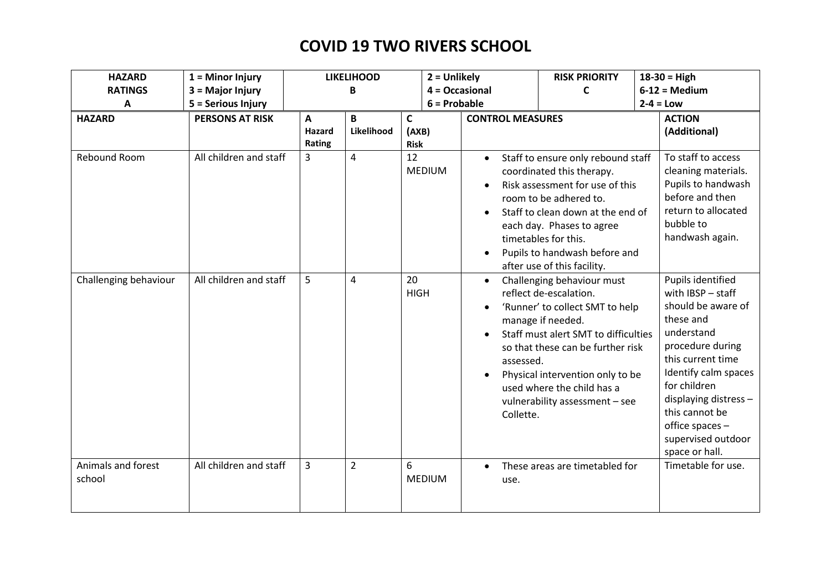| <b>HAZARD</b>                | $1 =$ Minor Injury     |                       | <b>LIKELIHOOD</b> | $2 =$ Unlikely            |                                     | <b>RISK PRIORITY</b>                                                                                                                                                                                                                                                                          | $18-30 = High$                                                                                                                                                                                                                                                                 |
|------------------------------|------------------------|-----------------------|-------------------|---------------------------|-------------------------------------|-----------------------------------------------------------------------------------------------------------------------------------------------------------------------------------------------------------------------------------------------------------------------------------------------|--------------------------------------------------------------------------------------------------------------------------------------------------------------------------------------------------------------------------------------------------------------------------------|
| <b>RATINGS</b>               | 3 = Major Injury       |                       | В                 |                           | 4 = Occasional                      | C                                                                                                                                                                                                                                                                                             | $6-12 = Median$                                                                                                                                                                                                                                                                |
| Α                            | 5 = Serious Injury     |                       |                   | $6 =$ Probable            |                                     |                                                                                                                                                                                                                                                                                               | $2-4 = Low$                                                                                                                                                                                                                                                                    |
| <b>HAZARD</b>                | <b>PERSONS AT RISK</b> | A<br>Hazard<br>Rating | B<br>Likelihood   | C<br>(AXB)<br><b>Risk</b> | <b>CONTROL MEASURES</b>             |                                                                                                                                                                                                                                                                                               | <b>ACTION</b><br>(Additional)                                                                                                                                                                                                                                                  |
| Rebound Room                 | All children and staff | 3                     | $\overline{4}$    | 12<br><b>MEDIUM</b>       | $\bullet$                           | Staff to ensure only rebound staff<br>coordinated this therapy.<br>Risk assessment for use of this<br>room to be adhered to.<br>Staff to clean down at the end of<br>each day. Phases to agree<br>timetables for this.<br>Pupils to handwash before and<br>after use of this facility.        | To staff to access<br>cleaning materials.<br>Pupils to handwash<br>before and then<br>return to allocated<br>bubble to<br>handwash again.                                                                                                                                      |
| Challenging behaviour        | All children and staff | 5                     | 4                 | 20<br><b>HIGH</b>         | $\bullet$<br>assessed.<br>Collette. | Challenging behaviour must<br>reflect de-escalation.<br>'Runner' to collect SMT to help<br>manage if needed.<br>Staff must alert SMT to difficulties<br>so that these can be further risk<br>Physical intervention only to be<br>used where the child has a<br>vulnerability assessment - see | Pupils identified<br>with IBSP - staff<br>should be aware of<br>these and<br>understand<br>procedure during<br>this current time<br>Identify calm spaces<br>for children<br>displaying distress -<br>this cannot be<br>office spaces -<br>supervised outdoor<br>space or hall. |
| Animals and forest<br>school | All children and staff | $\overline{3}$        | $\overline{2}$    | 6<br><b>MEDIUM</b>        | use.                                | These areas are timetabled for                                                                                                                                                                                                                                                                | Timetable for use.                                                                                                                                                                                                                                                             |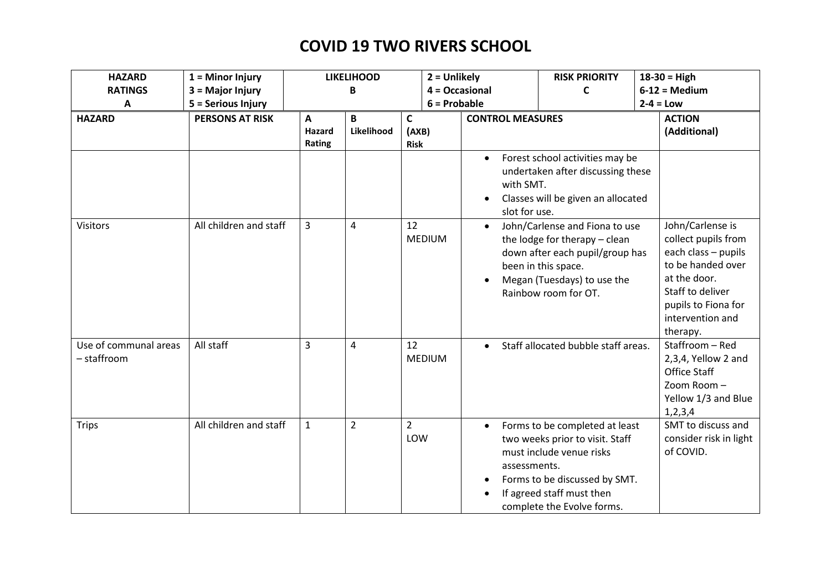| <b>HAZARD</b>         | $1 =$ Minor Injury     |                | <b>LIKELIHOOD</b><br>$2 =$ Unlikely |                     |                         | <b>RISK PRIORITY</b>                                   | $18-30 = High$                             |
|-----------------------|------------------------|----------------|-------------------------------------|---------------------|-------------------------|--------------------------------------------------------|--------------------------------------------|
| <b>RATINGS</b>        | 3 = Major Injury       |                | В                                   |                     | $4 = Occasional$        | $\mathsf{C}$                                           | $6-12 = Median$                            |
| A                     | 5 = Serious Injury     |                |                                     | $6 =$ Probable      |                         |                                                        | $2-4 = Low$                                |
| <b>HAZARD</b>         | <b>PERSONS AT RISK</b> | $\mathbf{A}$   | B                                   | $\mathsf{C}$        | <b>CONTROL MEASURES</b> | <b>ACTION</b>                                          |                                            |
|                       |                        | Hazard         | Likelihood                          | (AXB)               |                         | (Additional)                                           |                                            |
|                       |                        | Rating         |                                     | <b>Risk</b>         |                         |                                                        |                                            |
|                       |                        |                |                                     |                     |                         | Forest school activities may be                        |                                            |
|                       |                        |                |                                     |                     |                         | undertaken after discussing these                      |                                            |
|                       |                        |                |                                     |                     | with SMT.               |                                                        |                                            |
|                       |                        |                |                                     |                     |                         | Classes will be given an allocated                     |                                            |
|                       |                        |                |                                     |                     | slot for use.           |                                                        |                                            |
| <b>Visitors</b>       | All children and staff | 3              | 4                                   | 12<br><b>MEDIUM</b> | $\bullet$               | John/Carlense and Fiona to use                         | John/Carlense is                           |
|                       |                        |                |                                     |                     |                         | the lodge for therapy - clean                          | collect pupils from<br>each class - pupils |
|                       |                        |                |                                     |                     |                         | down after each pupil/group has<br>been in this space. | to be handed over                          |
|                       |                        |                |                                     |                     |                         | Megan (Tuesdays) to use the                            | at the door.                               |
|                       |                        |                |                                     |                     |                         | Rainbow room for OT.                                   | Staff to deliver                           |
|                       |                        |                |                                     |                     |                         |                                                        | pupils to Fiona for                        |
|                       |                        |                |                                     |                     |                         |                                                        | intervention and                           |
|                       |                        |                |                                     |                     |                         |                                                        | therapy.                                   |
| Use of communal areas | All staff              | $\overline{3}$ | $\overline{4}$                      | 12                  | $\bullet$               | Staff allocated bubble staff areas.                    | Staffroom - Red                            |
| - staffroom           |                        |                |                                     | <b>MEDIUM</b>       |                         |                                                        | 2,3,4, Yellow 2 and                        |
|                       |                        |                |                                     |                     |                         |                                                        | Office Staff                               |
|                       |                        |                |                                     |                     |                         |                                                        | Zoom Room-                                 |
|                       |                        |                |                                     |                     |                         |                                                        | Yellow 1/3 and Blue                        |
|                       |                        |                |                                     |                     |                         |                                                        | 1, 2, 3, 4                                 |
| <b>Trips</b>          | All children and staff | $\mathbf{1}$   | $\overline{2}$                      | $\overline{2}$      | $\bullet$               | Forms to be completed at least                         | SMT to discuss and                         |
|                       |                        |                |                                     | LOW                 |                         | two weeks prior to visit. Staff                        | consider risk in light                     |
|                       |                        |                |                                     |                     |                         | must include venue risks                               | of COVID.                                  |
|                       |                        |                |                                     |                     | assessments.            |                                                        |                                            |
|                       |                        |                |                                     |                     |                         | Forms to be discussed by SMT.                          |                                            |
|                       |                        |                |                                     |                     |                         | If agreed staff must then                              |                                            |
|                       |                        |                |                                     |                     |                         | complete the Evolve forms.                             |                                            |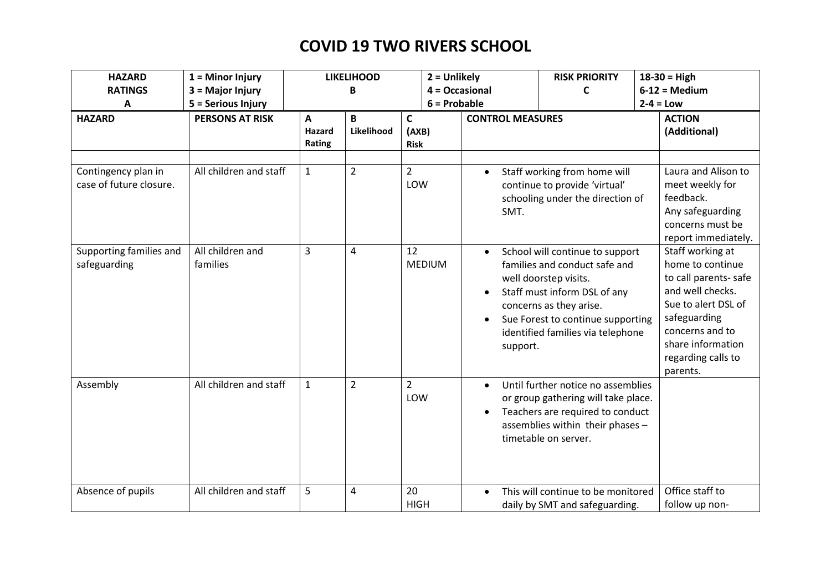| <b>HAZARD</b><br><b>RATINGS</b>                | $1 =$ Minor Injury<br>3 = Major Injury |                                  | <b>LIKELIHOOD</b><br>В | $2 =$ Unlikely                       | 4 = Occasional                     | <b>RISK PRIORITY</b><br>C                                                                                                                                                                                                      | $18-30 = High$<br>$6-12 = Median$                                                                                                                                                                 |
|------------------------------------------------|----------------------------------------|----------------------------------|------------------------|--------------------------------------|------------------------------------|--------------------------------------------------------------------------------------------------------------------------------------------------------------------------------------------------------------------------------|---------------------------------------------------------------------------------------------------------------------------------------------------------------------------------------------------|
| A                                              | 5 = Serious Injury                     |                                  |                        | $6 =$ Probable                       |                                    |                                                                                                                                                                                                                                | $2-4 = Low$                                                                                                                                                                                       |
| <b>HAZARD</b>                                  | <b>PERSONS AT RISK</b>                 | $\mathbf{A}$<br>Hazard<br>Rating | B<br>Likelihood        | $\mathsf{C}$<br>(AXB)<br><b>Risk</b> | <b>CONTROL MEASURES</b>            |                                                                                                                                                                                                                                | <b>ACTION</b><br>(Additional)                                                                                                                                                                     |
| Contingency plan in<br>case of future closure. | All children and staff                 | $\mathbf{1}$                     | $\overline{2}$         | $\overline{2}$<br>LOW                | $\bullet$<br>SMT.                  | Staff working from home will<br>continue to provide 'virtual'<br>schooling under the direction of                                                                                                                              | Laura and Alison to<br>meet weekly for<br>feedback.<br>Any safeguarding<br>concerns must be<br>report immediately.                                                                                |
| Supporting families and<br>safeguarding        | All children and<br>families           | $\overline{3}$                   | 4                      | 12<br><b>MEDIUM</b>                  | $\bullet$<br>$\bullet$<br>support. | School will continue to support<br>families and conduct safe and<br>well doorstep visits.<br>Staff must inform DSL of any<br>concerns as they arise.<br>Sue Forest to continue supporting<br>identified families via telephone | Staff working at<br>home to continue<br>to call parents-safe<br>and well checks.<br>Sue to alert DSL of<br>safeguarding<br>concerns and to<br>share information<br>regarding calls to<br>parents. |
| Assembly                                       | All children and staff                 | $\mathbf{1}$                     | $\overline{2}$         | $\overline{2}$<br>LOW                | $\bullet$                          | Until further notice no assemblies<br>or group gathering will take place.<br>Teachers are required to conduct<br>assemblies within their phases -<br>timetable on server.                                                      |                                                                                                                                                                                                   |
| Absence of pupils                              | All children and staff                 | 5                                | 4                      | 20<br><b>HIGH</b>                    | $\bullet$                          | This will continue to be monitored<br>daily by SMT and safeguarding.                                                                                                                                                           | Office staff to<br>follow up non-                                                                                                                                                                 |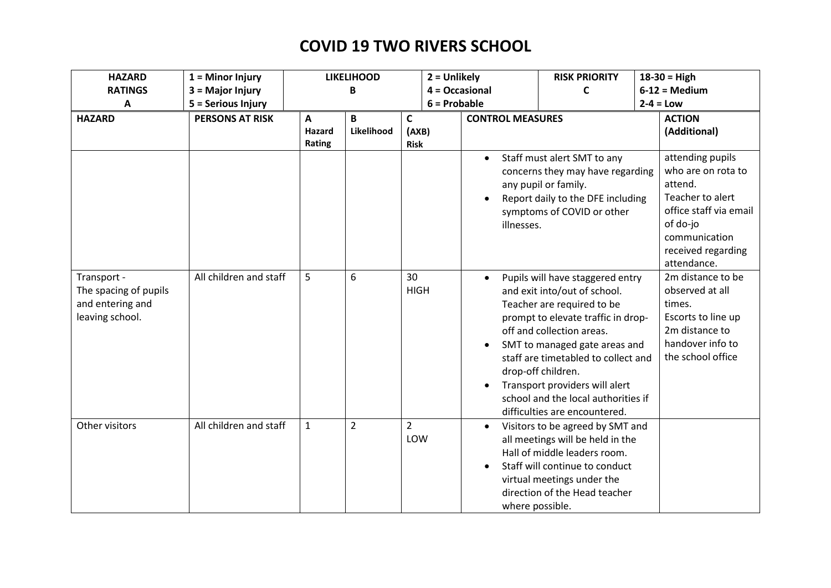| <b>HAZARD</b>                                                               | $1 =$ Minor Injury     |                       | <b>LIKELIHOOD</b> |                           | $2 =$ Unlikely               | <b>RISK PRIORITY</b>                                                                                                                                                                                                                                                                                                                                                      | $18-30 = High$                                                                                                                                                    |
|-----------------------------------------------------------------------------|------------------------|-----------------------|-------------------|---------------------------|------------------------------|---------------------------------------------------------------------------------------------------------------------------------------------------------------------------------------------------------------------------------------------------------------------------------------------------------------------------------------------------------------------------|-------------------------------------------------------------------------------------------------------------------------------------------------------------------|
| <b>RATINGS</b>                                                              | 3 = Major Injury       |                       | В                 |                           | $4 = Occasional$             | C                                                                                                                                                                                                                                                                                                                                                                         | $6-12 = Median$                                                                                                                                                   |
| A                                                                           | 5 = Serious Injury     |                       |                   |                           | $6 =$ Probable               |                                                                                                                                                                                                                                                                                                                                                                           | $2-4 = Low$                                                                                                                                                       |
| <b>HAZARD</b>                                                               | <b>PERSONS AT RISK</b> | A<br>Hazard<br>Rating | B<br>Likelihood   | C<br>(AXB)<br><b>Risk</b> | <b>CONTROL MEASURES</b>      |                                                                                                                                                                                                                                                                                                                                                                           | <b>ACTION</b><br>(Additional)                                                                                                                                     |
|                                                                             |                        |                       |                   |                           | $\bullet$<br>illnesses.      | Staff must alert SMT to any<br>concerns they may have regarding<br>any pupil or family.<br>Report daily to the DFE including<br>symptoms of COVID or other                                                                                                                                                                                                                | attending pupils<br>who are on rota to<br>attend.<br>Teacher to alert<br>office staff via email<br>of do-jo<br>communication<br>received regarding<br>attendance. |
| Transport -<br>The spacing of pupils<br>and entering and<br>leaving school. | All children and staff | 5                     | 6                 | 30<br><b>HIGH</b>         | $\bullet$                    | Pupils will have staggered entry<br>and exit into/out of school.<br>Teacher are required to be<br>prompt to elevate traffic in drop-<br>off and collection areas.<br>SMT to managed gate areas and<br>staff are timetabled to collect and<br>drop-off children.<br>Transport providers will alert<br>school and the local authorities if<br>difficulties are encountered. | 2m distance to be<br>observed at all<br>times.<br>Escorts to line up<br>2m distance to<br>handover info to<br>the school office                                   |
| Other visitors                                                              | All children and staff | $\mathbf{1}$          | $\overline{2}$    | $\overline{2}$<br>LOW     | $\bullet$<br>where possible. | Visitors to be agreed by SMT and<br>all meetings will be held in the<br>Hall of middle leaders room.<br>Staff will continue to conduct<br>virtual meetings under the<br>direction of the Head teacher                                                                                                                                                                     |                                                                                                                                                                   |